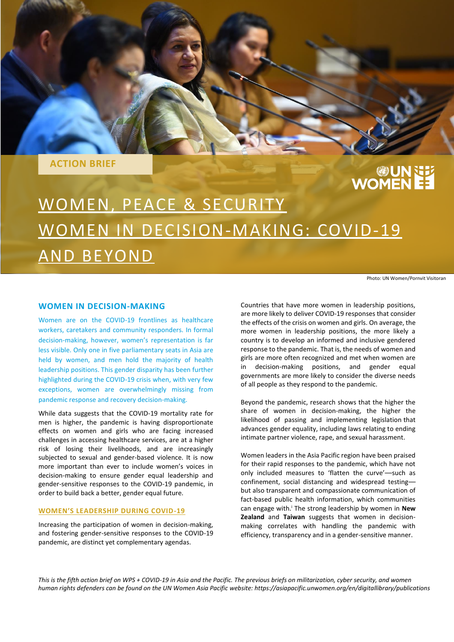**ACTION BRIEF**

# **WUNNEY**<br>EE WOMEN

# WOMEN, PEACE & SECURITY WOMEN IN DECISION-MAKING: COVID-19 AND BEYOND

Photo: UN Women/Pornvit Visitoran

### **WOMEN IN DECISION-MAKING**

Women are on the COVID-19 frontlines as healthcare workers, caretakers and community responders. In formal decision-making, however, women's representation is far less visible. Only one in five parliamentary seats in Asia are held by women, and men hold the majority of health leadership positions. This gender disparity has been further highlighted during the COVID-19 crisis when, with very few exceptions, women are overwhelmingly missing from pandemic response and recovery decision-making.

While data suggests that the COVID-19 mortality rate for men is higher, the pandemic is having disproportionate effects on women and girls who are facing increased challenges in accessing healthcare services, are at a higher risk of losing their livelihoods, and are increasingly subjected to sexual and gender-based violence. It is now more important than ever to include women's voices in decision-making to ensure gender equal leadership and gender-sensitive responses to the COVID-19 pandemic, in order to build back a better, gender equal future.

#### **WOMEN'S LEADERSHIP DURING COVID-19**

Increasing the participation of women in decision-making, and fostering gender-sensitive responses to the COVID-19 pandemic, are distinct yet complementary agendas.

Countries that have more women in leadership positions, are more likely to deliver COVID-19 responses that consider the effects of the crisis on women and girls. On average, the more women in leadership positions, the more likely a country is to develop an informed and inclusive gendered response to the pandemic. That is, the needs of women and girls are more often recognized and met when women are in decision-making positions, and gender equal governments are more likely to consider the diverse needs of all people as they respond to the pandemic.

Beyond the pandemic, research shows that the higher the share of women in decision-making, the higher the likelihood of passing and implementing legislation that advances gender equality, including laws relating to ending intimate partner violence, rape, and sexual harassment.

Women leaders in the Asia Pacific region have been praised for their rapid responses to the pandemic, which have not only included measures to 'flatten the curve'––such as confinement, social distancing and widespread testing–– but also transparent and compassionate communication of fact-based public health information, which communities can engage with.<sup>i</sup> The strong leadership by women in **New Zealand** and **Taiwan** suggests that women in decisionmaking correlates with handling the pandemic with efficiency, transparency and in a gender-sensitive manner.

*This is the fifth action brief on WPS + COVID-19 in Asia and the Pacific. The previous briefs on militarization, cyber security, and women human rights defenders can be found on the UN Women Asia Pacific website: https://asiapacific.unwomen.org/en/digitallibrary/publications*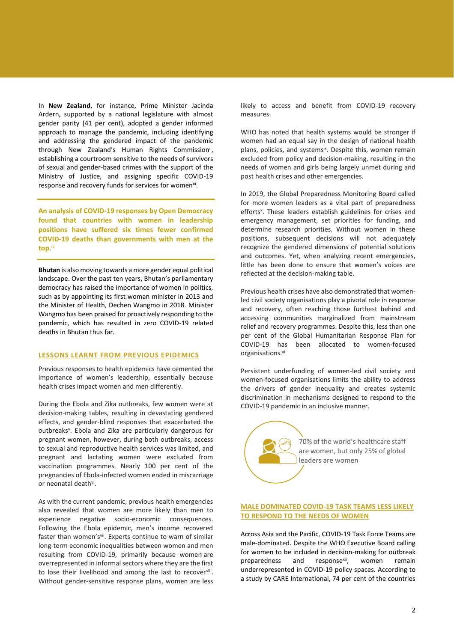In **New Zealand**, for instance, Prime Minister Jacinda Ardern, supported by a national legislature with almost gender parity (41 per cent), adopted a gender informed approach to manage the pandemic, including identifying and addressing the gendered impact of the pandemic through New Zealand's Human Rights Commission", establishing a courtroom sensitive to the needs of survivors of sexual and gender-based crimes with the support of the Ministry of Justice, and assigning specific COVID-19 response and recovery funds for services for women'".

**An analysis of COVID-19 responses by Open Democracy found that countries with women in leadership positions have suffered six times fewer confirmed COVID-19 deaths than governments with men at the top.**iv

**Bhutan** is also moving towards a more gender equal political landscape. Over the past ten years, Bhutan's parliamentary democracy has raised the importance of women in politics, such as by appointing its first woman minister in 2013 and the Minister of Health, Dechen Wangmo in 2018. Minister Wangmo has been praised for proactively responding to the pandemic, which has resulted in zero COVID-19 related deaths in Bhutan thus far.

#### **LESSONS LEARNT FROM PREVIOUS EPIDEMICS**

Previous responses to health epidemics have cemented the importance of women's leadership, essentially because health crises impact women and men differently.

During the Ebola and Zika outbreaks, few women were at decision-making tables, resulting in devastating gendered effects, and gender-blind responses that exacerbated the outbreaks<sup>v</sup>. Ebola and Zika are particularly dangerous for pregnant women, however, during both outbreaks, access to sexual and reproductive health services was limited, and pregnant and lactating women were excluded from vaccination programmes. Nearly 100 per cent of the pregnancies of Ebola-infected women ended in miscarriage or neonatal death<sup>vi</sup>.

As with the current pandemic, previous health emergencies also revealed that women are more likely than men to experience negative socio-economic consequences. Following the Ebola epidemic, men's income recovered faster than women'svii. Experts continue to warn of similar long-term economic inequalities between women and men resulting from COVID-19, primarily because women are overrepresented in informal sectors where they are the first to lose their livelihood and among the last to recoverviii. Without gender-sensitive response plans, women are less likely to access and benefit from COVID-19 recovery measures.

WHO has noted that health systems would be stronger if women had an equal say in the design of national health plans, policies, and systems<sup>ix</sup>. Despite this, women remain excluded from policy and decision-making, resulting in the needs of women and girls being largely unmet during and post health crises and other emergencies.

In 2019, the Global Preparedness Monitoring Board called for more women leaders as a vital part of preparedness efforts<sup>x</sup>. These leaders establish guidelines for crises and emergency management, set priorities for funding, and determine research priorities. Without women in these positions, subsequent decisions will not adequately recognize the gendered dimensions of potential solutions and outcomes. Yet, when analyzing recent emergencies, little has been done to ensure that women's voices are reflected at the decision-making table.

Previous health crises have also demonstrated that womenled civil society organisations play a pivotal role in response and recovery, often reaching those furthest behind and accessing communities marginalized from mainstream relief and recovery programmes. Despite this, less than one per cent of the Global Humanitarian Response Plan for COVID-19 has been allocated to women-focused organisations.<sup>xi</sup>

Persistent underfunding of women-led civil society and women-focused organisations limits the ability to address the drivers of gender inequality and creates systemic discrimination in mechanisms designed to respond to the COVID-19 pandemic in an inclusive manner.



#### **MALE DOMINATED COVID-19 TASK TEAMS LESS LIKELY TO RESPOND TO THE NEEDS OF WOMEN**

Across Asia and the Pacific, COVID-19 Task Force Teams are male-dominated. Despite the WHO Executive Board calling for women to be included in decision-making for outbreak preparedness and response<sup>xii</sup>, women remain underrepresented in COVID-19 policy spaces. According to a study by CARE International, 74 per cent of the countries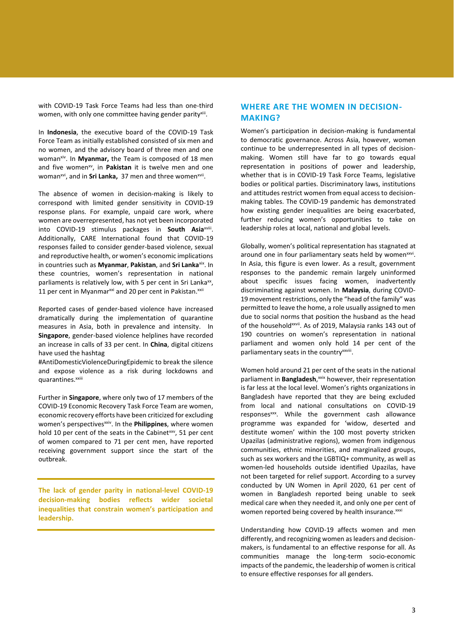with COVID-19 Task Force Teams had less than one-third women, with only one committee having gender parity<sup>xiii</sup>.

In **Indonesia**, the executive board of the COVID-19 Task Force Team as initially established consisted of six men and no women, and the advisory board of three men and one woman<sup>xiv</sup>. In **Myanmar,** the Team is composed of 18 men and five women<sup>xv</sup>, in Pakistan it is twelve men and one woman<sup>xvi</sup>, and in **Sri Lanka,** 37 men and three women<sup>xvii</sup>.

The absence of women in decision-making is likely to correspond with limited gender sensitivity in COVID-19 response plans. For example, unpaid care work, where women are overrepresented, has not yet been incorporated into COVID-19 stimulus packages in **South Asia**xviii . Additionally, CARE International found that COVID-19 responses failed to consider gender-based violence, sexual and reproductive health, or women's economic implications in countries such as **Myanmar**, **Pakistan**, and **Sri Lanka**xix. In these countries, women's representation in national parliaments is relatively low, with 5 per cent in Sri Lanka<sup>xx</sup>, 11 per cent in Myanmar<sup>xxi</sup> and 20 per cent in Pakistan.<sup>xxii</sup>

Reported cases of gender-based violence have increased dramatically during the implementation of quarantine measures in Asia, both in prevalence and intensity. In **Singapore**, gender-based violence helplines have recorded an increase in calls of 33 per cent. In **China**, digital citizens have used the hashtag

#AntiDomesticViolenceDuringEpidemic to break the silence and expose violence as a risk during lockdowns and quarantines.<sup>xxiii</sup>

Further in **Singapore**, where only two of 17 members of the COVID-19 Economic Recovery Task Force Team are women, economic recovery efforts have been criticized for excluding women's perspectivesxxiv. In the **Philippines**, where women hold 10 per cent of the seats in the Cabinetxxv, 51 per cent of women compared to 71 per cent men, have reported receiving government support since the start of the outbreak.

**The lack of gender parity in national-level COVID-19 decision-making bodies reflects wider societal inequalities that constrain women's participation and leadership.**

## **WHERE ARE THE WOMEN IN DECISION-MAKING?**

Women's participation in decision-making is fundamental to democratic governance. Across Asia, however, women continue to be underrepresented in all types of decisionmaking. Women still have far to go towards equal representation in positions of power and leadership, whether that is in COVID-19 Task Force Teams, legislative bodies or political parties. Discriminatory laws, institutions and attitudes restrict women from equal access to decisionmaking tables. The COVID-19 pandemic has demonstrated how existing gender inequalities are being exacerbated, further reducing women's opportunities to take on leadership roles at local, national and global levels.

Globally, women's political representation has stagnated at around one in four parliamentary seats held by women<sup>xxvi</sup>. In Asia, this figure is even lower. As a result, government responses to the pandemic remain largely uninformed about specific issues facing women, inadvertently discriminating against women. In **Malaysia**, during COVID-19 movement restrictions, only the "head of the family" was permitted to leave the home, a role usually assigned to men due to social norms that position the husband as the head of the householdxxvii. As of 2019, Malaysia ranks 143 out of 190 countries on women's representation in national parliament and women only hold 14 per cent of the parliamentary seats in the country<sup>xxviii</sup>.

Women hold around 21 per cent of the seats in the national parliament in **Bangladesh**,<sup>xxix</sup> however, their representation is far less at the local level. Women's rights organizations in Bangladesh have reported that they are being excluded from local and national consultations on COVID-19 responses<sup>xxx</sup>. While the government cash allowance programme was expanded for 'widow, deserted and destitute women' within the 100 most poverty stricken Upazilas (administrative regions), women from indigenous communities, ethnic minorities, and marginalized groups, such as sex workers and the LGBTIQ+ community, as well as women-led households outside identified Upazilas, have not been targeted for relief support. According to a survey conducted by UN Women in April 2020, 61 per cent of women in Bangladesh reported being unable to seek medical care when they needed it, and only one per cent of women reported being covered by health insurance.xxxi

Understanding how COVID-19 affects women and men differently, and recognizing women as leaders and decisionmakers, is fundamental to an effective response for all. As communities manage the long-term socio-economic impacts of the pandemic, the leadership of women is critical to ensure effective responses for all genders.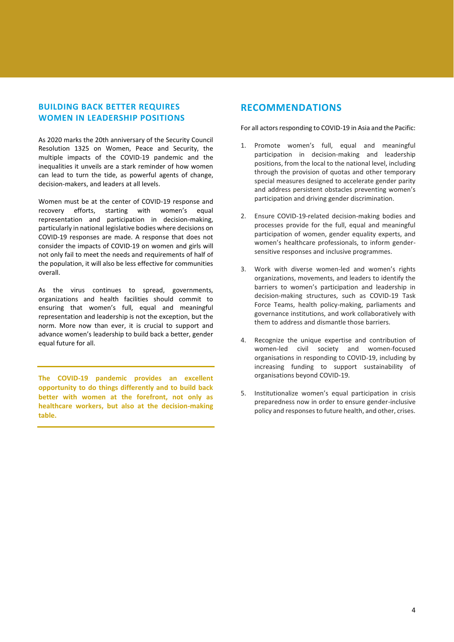# **BUILDING BACK BETTER REQUIRES WOMEN IN LEADERSHIP POSITIONS**

As 2020 marks the 20th anniversary of the Security Council Resolution 1325 on Women, Peace and Security, the multiple impacts of the COVID-19 pandemic and the inequalities it unveils are a stark reminder of how women can lead to turn the tide, as powerful agents of change, decision-makers, and leaders at all levels.

Women must be at the center of COVID-19 response and recovery efforts, starting with women's equal representation and participation in decision-making, particularly in national legislative bodies where decisions on COVID-19 responses are made. A response that does not consider the impacts of COVID-19 on women and girls will not only fail to meet the needs and requirements of half of the population, it will also be less effective for communities overall.

As the virus continues to spread, governments, organizations and health facilities should commit to ensuring that women's full, equal and meaningful representation and leadership is not the exception, but the norm. More now than ever, it is crucial to support and advance women's leadership to build back a better, gender equal future for all.

**The COVID-19 pandemic provides an excellent opportunity to do things differently and to build back better with women at the forefront, not only as healthcare workers, but also at the decision-making table.**

# **RECOMMENDATIONS**

For all actors responding to COVID-19 in Asia and the Pacific:

- 1. Promote women's full, equal and meaningful participation in decision-making and leadership positions, from the local to the national level, including through the provision of quotas and other temporary special measures designed to accelerate gender parity and address persistent obstacles preventing women's participation and driving gender discrimination.
- 2. Ensure COVID-19-related decision-making bodies and processes provide for the full, equal and meaningful participation of women, gender equality experts, and women's healthcare professionals, to inform gendersensitive responses and inclusive programmes.
- 3. Work with diverse women-led and women's rights organizations, movements, and leaders to identify the barriers to women's participation and leadership in decision-making structures, such as COVID-19 Task Force Teams, health policy-making, parliaments and governance institutions, and work collaboratively with them to address and dismantle those barriers.
- 4. Recognize the unique expertise and contribution of women-led civil society and women-focused organisations in responding to COVID-19, including by increasing funding to support sustainability of organisations beyond COVID-19.
- 5. Institutionalize women's equal participation in crisis preparedness now in order to ensure gender-inclusive policy and responses to future health, and other, crises.